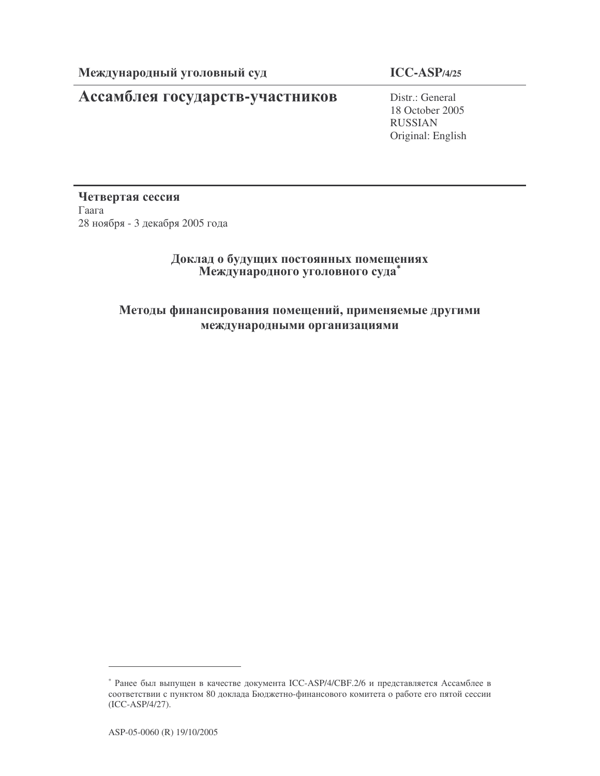# Ассамблея государств-участников Distr.: General

# **ICC-ASP/4/25**

18 October 2005 RUSSIAN Original: English

Четвертая сессия  $\Gamma$ аага 28 ноября - 3 декабря 2005 года

# Доклад о будущих постоянных помещениях Международного уголовного суда\*

# Методы финансирования помещений, применяемые другими международными организациями

<sup>\*</sup> Ранее был выпущен в качестве документа ICC-ASP/4/CBF.2/6 и представляется Ассамблее в соответствии с пунктом 80 доклада Бюджетно-финансового комитета о работе его пятой сессии (ICC-ASP/4/27).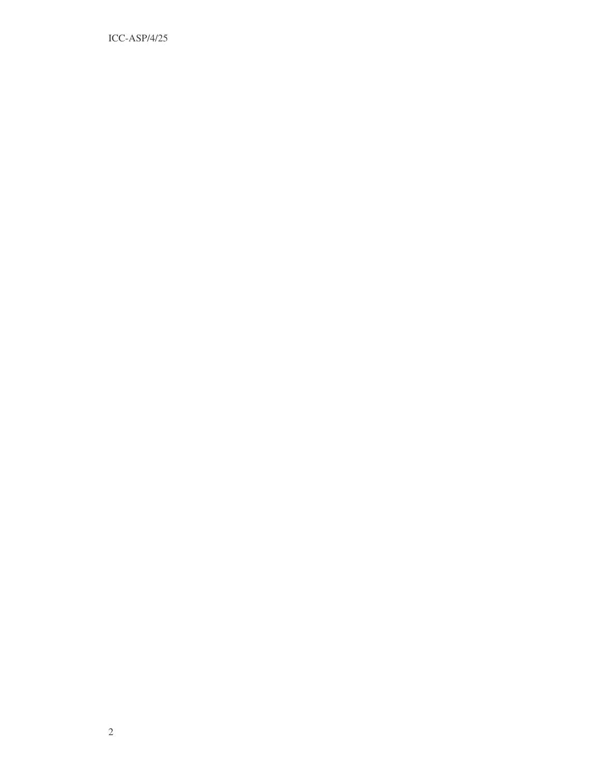ICC-ASP/4/25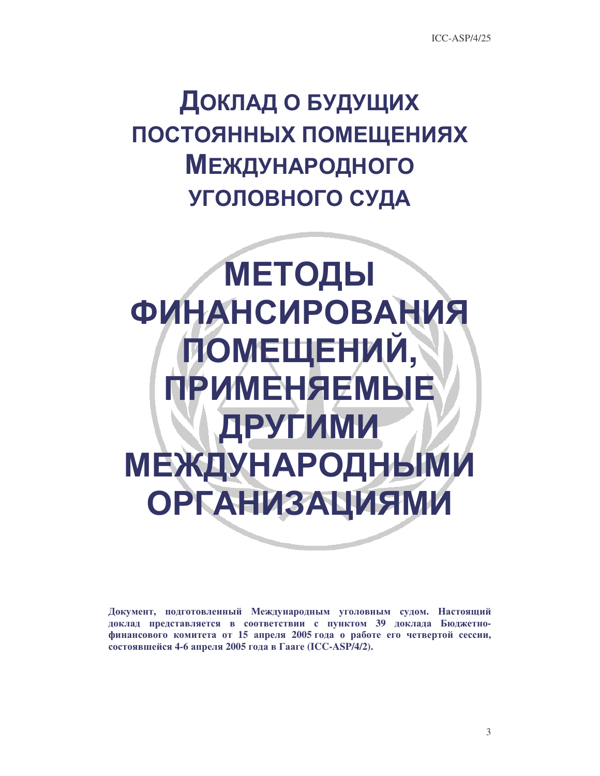# ДОКЛАД О БУДУЩИХ ПОСТОЯННЫХ ПОМЕЩЕНИЯХ **МЕЖДУНАРОДНОГО** УГОЛОВНОГО СУДА



Документ, подготовленный Международным уголовным судом. Настоящий доклад представляется в соответствии с пунктом 39 доклада Бюджетнофинансового комитета от 15 апреля 2005 года о работе его четвертой сессии, состоявшейся 4-6 апреля 2005 года в Гааге (ICC-ASP/4/2).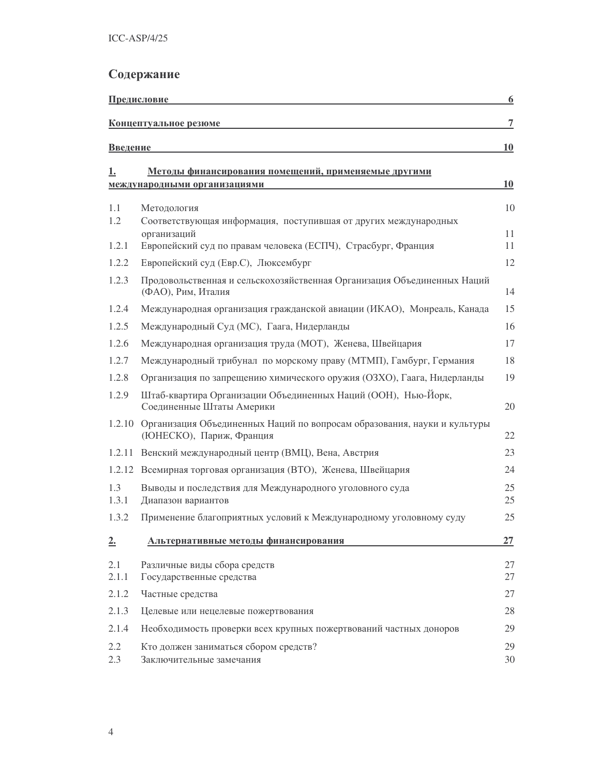# Содержание

|                | Предисловие                                                                                                    | 6              |
|----------------|----------------------------------------------------------------------------------------------------------------|----------------|
|                | Концептуальное резюме                                                                                          | $\overline{7}$ |
| Введение       |                                                                                                                | 10             |
| 1.             | Методы финансирования помещений, применяемые другими<br>международными организациями                           | 10             |
| 1.1<br>1.2     | Методология<br>Соответствующая информация, поступившая от других международных<br>организаций                  | 10<br>11       |
| 1.2.1          | Европейский суд по правам человека (ЕСПЧ), Страсбург, Франция                                                  | 11             |
| 1.2.2<br>1.2.3 | Европейский суд (Евр.С), Люксембург<br>Продовольственная и сельскохозяйственная Организация Объединенных Наций | 12             |
|                | (ФАО), Рим, Италия                                                                                             | 14             |
| 1.2.4          | Международная организация гражданской авиации (ИКАО), Монреаль, Канада                                         | 15             |
| 1.2.5          | Международный Суд (МС), Гаага, Нидерланды                                                                      | 16             |
| 1.2.6          | Международная организация труда (МОТ), Женева, Швейцария                                                       | 17             |
| 1.2.7          | Международный трибунал по морскому праву (МТМП), Гамбург, Германия                                             | 18             |
| 1.2.8          | Организация по запрещению химического оружия (ОЗХО), Гаага, Нидерланды                                         | 19             |
| 1.2.9          | Штаб-квартира Организации Объединенных Наций (ООН), Нью-Йорк,<br>Соединенные Штаты Америки                     | 20             |
|                | 1.2.10 Организация Объединенных Наций по вопросам образования, науки и культуры<br>(ЮНЕСКО), Париж, Франция    | 22             |
|                | 1.2.11 Венский международный центр (ВМЦ), Вена, Австрия                                                        | 23             |
|                | 1.2.12 Всемирная торговая организация (ВТО), Женева, Швейцария                                                 | 24             |
| 1.3<br>1.3.1   | Выводы и последствия для Международного уголовного суда<br>Диапазон вариантов                                  | 25<br>25       |
| 1.3.2          | Применение благоприятных условий к Международному уголовному суду                                              | 25             |
| 2.             | Альтернативные методы финансирования                                                                           | 27             |
| 2.1<br>2.1.1   | Различные виды сбора средств<br>Государственные средства                                                       | 27<br>27       |
| 2.1.2          | Частные средства                                                                                               | 27             |
| 2.1.3          | Целевые или нецелевые пожертвования                                                                            | 28             |
| 2.1.4          | Необходимость проверки всех крупных пожертвований частных доноров                                              | 29             |
| 2.2<br>2.3     | Кто должен заниматься сбором средств?<br>Заключительные замечания                                              | 29<br>30       |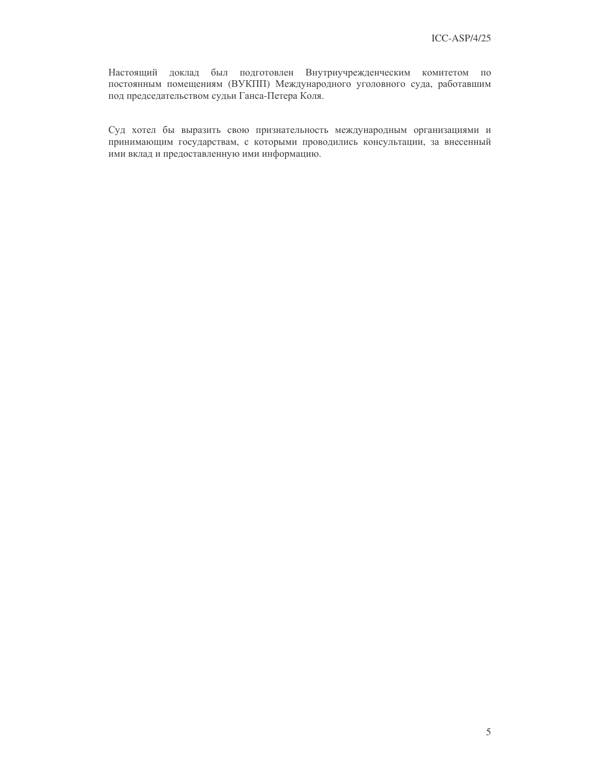Настоящий доклад был подготовлен Внутриучрежденческим комитетом по постоянным помещениям (ВУКПП) Международного уголовного суда, работавшим под председательством судьи Ганса-Петера Коля.

Суд хотел бы выразить свою признательность международным организациями и принимающим государствам, с которыми проводились консультации, за внесенный ими вклад и предоставленную ими информацию.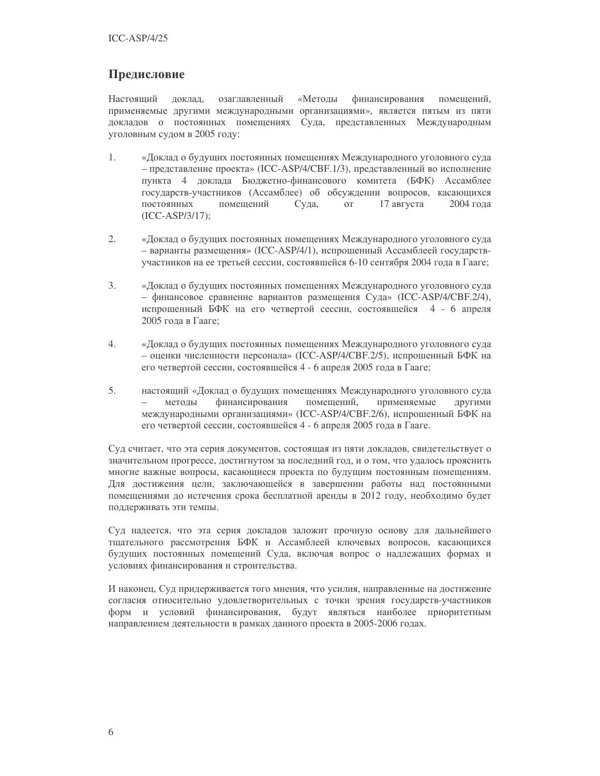# Предисловие

Настояший доклад. озаглавленный «Метолы финансирования помешений. применяемые другими международными организациями», является пятым из пяти докладов о постоянных помещениях Суда, представленных Международным уголовным судом в 2005 году:

- $1.$ «Доклад о будущих постоянных помещениях Международного уголовного суда - представление проекта» (ICC-ASP/4/CBF.1/3), представленный во исполнение пункта 4 доклада Бюджетно-финансового комитета (БФК) Ассамблее государств-участников (Ассамблее) об обсуждении вопросов, касающихся помещений постоянных Суда,  $O(T)$ 17 августа 2004 года  $(ICC-ASP/3/17);$
- 2. «Доклад о будущих постоянных помещениях Международного уголовного суда - варианты размещения» (ICC-ASP/4/1), испрошенный Ассамблеей государствучастников на ее третьей сессии, состоявшейся 6-10 сентября 2004 года в Гааге;
- $3.$ «Доклад о будущих постоянных помещениях Международного уголовного суда - финансовое сравнение вариантов размещения Суда» (ICC-ASP/4/CBF.2/4), испрошенный БФК на его четвертой сессии, состоявшейся 4 - 6 апреля 2005 года в Гааге;
- $\overline{4}$ . «Доклад о будущих постоянных помещениях Международного уголовного суда - оценки численности персонала» (ICC-ASP/4/CBF.2/5), испрошенный БФК на его четвертой сессии, состоявшейся 4 - 6 апреля 2005 года в Гааге;
- 5. настоящий «Доклад о будущих помещениях Международного уголовного суда методы финансирования помещений, применяемые другими международными организациями» (ICC-ASP/4/CBF.2/6), испрошенный БФК на его четвертой сессии, состоявшейся 4 - 6 апреля 2005 года в Гааге.

Суд считает, что эта серия документов, состоящая из пяти докладов, свидетельствует о значительном прогрессе, достигнутом за последний год, и о том, что удалось прояснить многие важные вопросы, касающиеся проекта по будущим постоянным помещениям. Для достижения цели, заключающейся в завершении работы над постоянными помещениями до истечения срока бесплатной аренды в 2012 году, необходимо будет поддерживать эти темпы.

Суд надеется, что эта серия докладов заложит прочную основу для дальнейшего тщательного рассмотрения БФК и Ассамблеей ключевых вопросов, касающихся будущих постоянных помещений Суда, включая вопрос о надлежащих формах и условиях финансирования и строительства.

И наконец, Суд придерживается того мнения, что усилия, направленные на достижение согласия относительно удовлетворительных с точки зрения государств-участников форм и условий финансирования, будут являться наиболее приоритетным направлением деятельности в рамках данного проекта в 2005-2006 годах.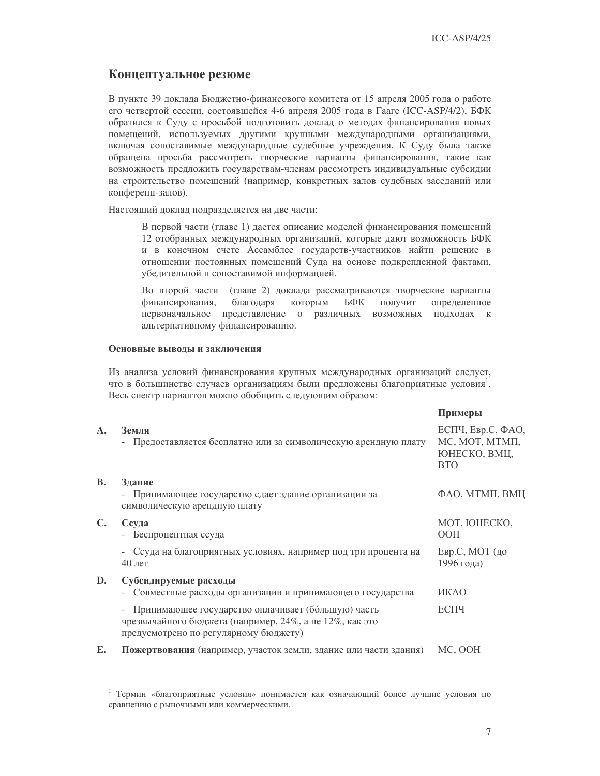## Концептуальное резюме

В пункте 39 доклада Бюджетно-финансового комитета от 15 апреля 2005 года о работе его четвертой сессии, состоявшейся 4-6 апреля 2005 года в Гааге (ICC-ASP/4/2), БФК обратился к Суду с просьбой подготовить доклад о методах финансирования новых помещений, используемых другими крупными международными организациями, включая сопоставимые международные судебные учреждения. К Суду была также обращена просьба рассмотреть творческие варианты финансирования, такие как возможность предложить государствам-членам рассмотреть индивидуальные субсидии на строительство помещений (например, конкретных залов судебных заседаний или конференц-залов).

Настоящий доклад подразделяется на две части:

В первой части (главе 1) дается описание моделей финансирования помещений 12 отобранных международных организаций, которые дают возможность БФК и в конечном счете Ассамблее государств-участников найти решение в отношении постоянных помещений Суда на основе подкрепленной фактами, убедительной и сопоставимой информацией.

Во второй части (главе 2) доклада рассматриваются творческие варианты финансирования, благодаря которым БФК получит определенное первоначальное представление о различных возможных подходах к альтернативному финансированию.

#### Основные выводы и заключения

Из анализа условий финансирования крупных международных организаций следует, что в большинстве случаев организациям были предложены благоприятные условия<sup>1</sup>. Весь спектр вариантов можно обобщить следующим образом:

|                |                                                                                                                                                                                    | Примеры                                                            |
|----------------|------------------------------------------------------------------------------------------------------------------------------------------------------------------------------------|--------------------------------------------------------------------|
| $\mathbf{A}$ . | Земля<br>Предоставляется бесплатно или за символическую арендную плату<br>$\overline{\phantom{0}}$                                                                                 | ЕСПЧ, Евр.С, ФАО,<br>MC, MOT, MTMII,<br>ЮНЕСКО, ВМЦ,<br><b>BTO</b> |
| В.             | Здание<br>- Принимающее государство сдает здание организации за<br>символическую арендную плату                                                                                    | ФАО, МТМП, ВМЦ                                                     |
| C.             | Ссуда<br>Беспроцентная ссуда<br>$\qquad \qquad -$                                                                                                                                  | MOT, ЮНЕСКО,<br><b>OOH</b>                                         |
|                | Ссуда на благоприятных условиях, например под три процента на<br>$\overline{\phantom{a}}$<br>$40$ лет                                                                              | $E$ вр.С, МОТ (до<br>1996 года)                                    |
| D.             | Субсидируемые расходы<br>Совместные расходы организации и принимающего государства<br>$\overline{\phantom{0}}$                                                                     | <b><i>HKAO</i></b>                                                 |
|                | Принимающее государство оплачивает (большую) часть<br>$\overline{\phantom{0}}$<br>чрезвычайного бюджета (например, 24%, а не 12%, как это<br>предусмотрено по регулярному бюджету) | ЕСПЧ                                                               |
| Е.             | Пожертвования (например, участок земли, здание или части здания)                                                                                                                   | MC, OOH                                                            |

<sup>&</sup>lt;sup>1</sup> Термин «благоприятные условия» понимается как означающий более лучшие условия по сравнению с рыночными или коммерческими.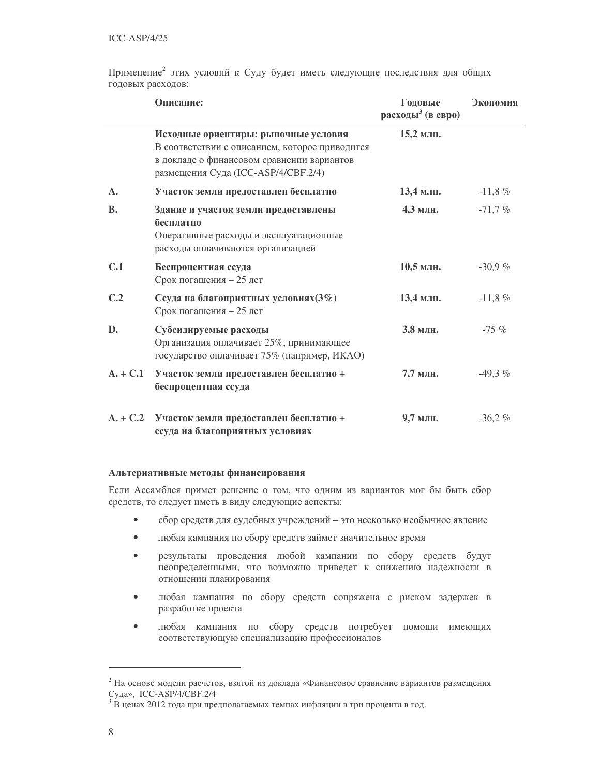Применение<sup>2</sup> этих условий к Суду будет иметь следующие последствия для общих годовых расходов:

|                | Описание:                                                                                                                                                                   | Годовые<br>расходы <sup>3</sup> (в евро) | Экономия |
|----------------|-----------------------------------------------------------------------------------------------------------------------------------------------------------------------------|------------------------------------------|----------|
|                | Исходные ориентиры: рыночные условия<br>В соответствии с описанием, которое приводится<br>в докладе о финансовом сравнении вариантов<br>размещения Суда (ICC-ASP/4/CBF.2/4) | 15,2 млн.                                |          |
| $\mathbf{A}$ . | Участок земли предоставлен бесплатно                                                                                                                                        | 13,4 млн.                                | $-11,8%$ |
| <b>B.</b>      | Здание и участок земли предоставлены<br>бесплатно<br>Оперативные расходы и эксплуатационные<br>расходы оплачиваются организацией                                            | 4,3 млн.                                 | $-71,7%$ |
| C.1            | Беспроцентная ссуда<br>Срок погашения - 25 лет                                                                                                                              | 10,5 млн.                                | $-30.9%$ |
| C.2            | Ссуда на благоприятных условиях(3%)<br>Срок погашения - 25 лет                                                                                                              | 13,4 млн.                                | $-11,8%$ |
| D.             | Субсидируемые расходы<br>Организация оплачивает 25%, принимающее<br>государство оплачивает 75% (например, ИКАО)                                                             | 3,8 млн.                                 | $-75%$   |
| $A. + C.1$     | Участок земли предоставлен бесплатно +<br>беспроцентная ссуда                                                                                                               | 7,7 млн.                                 | $-49.3%$ |
| $A. + C.2$     | Участок земли предоставлен бесплатно +<br>ссуда на благоприятных условиях                                                                                                   | 9,7 млн.                                 | $-36,2%$ |

#### Альтернативные методы финансирования

Если Ассамблея примет решение о том, что одним из вариантов мог бы быть сбор средств, то следует иметь в виду следующие аспекты:

- $\bullet$ сбор средств для судебных учреждений - это несколько необычное явление
- $\bullet$ любая кампания по сбору средств займет значительное время
- результаты проведения любой кампании по сбору средств будут  $\bullet$ неопределенными, что возможно приведет к снижению надежности в отношении планирования
- любая кампания по сбору средств сопряжена с риском задержек в  $\bullet$ разработке проекта
- любая кампания по сбору средств потребует помощи имеющих  $\bullet$ соответствующую специализацию профессионалов

<sup>&</sup>lt;sup>2</sup> На основе модели расчетов, взятой из доклада «Финансовое сравнение вариантов размещения Суда», ICC-ASP/4/CBF.2/4

<sup>&</sup>lt;sup>3</sup> В ценах 2012 года при предполагаемых темпах инфляции в три процента в год.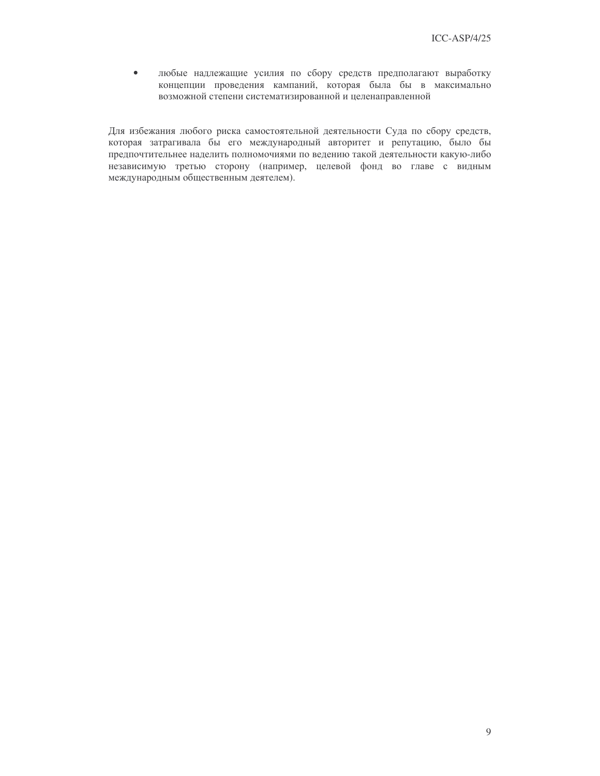$\bullet$ любые надлежащие усилия по сбору средств предполагают выработку концепции проведения кампаний, которая была бы в максимально возможной степени систематизированной и целенаправленной

Для избежания любого риска самостоятельной деятельности Суда по сбору средств, которая затрагивала бы его международный авторитет и репутацию, было бы предпочтительнее наделить полномочиями по ведению такой деятельности какую-либо независимую третью сторону (например, целевой фонд во главе с видным международным общественным деятелем).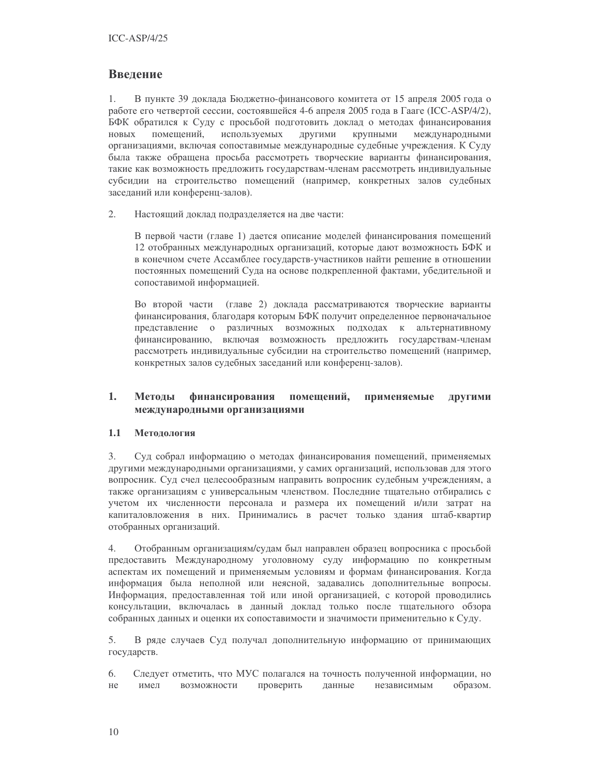# Введение

В пункте 39 доклада Бюджетно-финансового комитета от 15 апреля 2005 года о  $\mathbf{1}$ . работе его четвертой сессии, состоявшейся 4-6 апреля 2005 года в Гааге (ICC-ASP/4/2), БФК обратился к Суду с просьбой подготовить доклад о методах финансирования НОВЫХ помещений, используемых другими крупными международными организациями, включая сопоставимые международные судебные учреждения. К Суду была также обращена просьба рассмотреть творческие варианты финансирования, такие как возможность предложить государствам-членам рассмотреть индивидуальные субсидии на строительство помещений (например, конкретных залов судебных заседаний или конференц-залов).

2. Настоящий доклад подразделяется на две части:

> В первой части (главе 1) дается описание моделей финансирования помещений 12 отобранных международных организаций, которые дают возможность БФК и в конечном счете Ассамблее государств-участников найти решение в отношении постоянных помещений Суда на основе подкрепленной фактами, убедительной и сопоставимой информацией.

> Во второй части (главе 2) доклада рассматриваются творческие варианты финансирования, благодаря которым БФК получит определенное первоначальное представление о различных возможных подходах к альтернативному финансированию, включая возможность предложить государствам-членам рассмотреть индивидуальные субсидии на строительство помещений (например, конкретных залов судебных заседаний или конференц-залов).

#### 1. Методы финансирования помещений, применяемые другими международными организациями

#### $1.1$ Метолология

3. Суд собрал информацию о методах финансирования помещений, применяемых другими международными организациями, у самих организаций, использовав для этого вопросник. Суд счел целесообразным направить вопросник судебным учреждениям, а также организациям с универсальным членством. Последние тщательно отбирались с учетом их численности персонала и размера их помещений и/или затрат на капиталовложения в них. Принимались в расчет только здания штаб-квартир отобранных организаций.

 $4.$ Отобранным организациям/судам был направлен образец вопросника с просьбой предоставить Международному уголовному суду информацию по конкретным аспектам их помещений и применяемым условиям и формам финансирования. Когда информация была неполной или неясной, задавались дополнительные вопросы. Информация, предоставленная той или иной организацией, с которой проводились консультации, включалась в данный доклад только после тщательного обзора собранных данных и оценки их сопоставимости и значимости применительно к Суду.

5. В ряде случаев Суд получал дополнительную информацию от принимающих государств.

6. Следует отметить, что МУС полагался на точность полученной информации, но He имел возможности проверить независимым образом. данные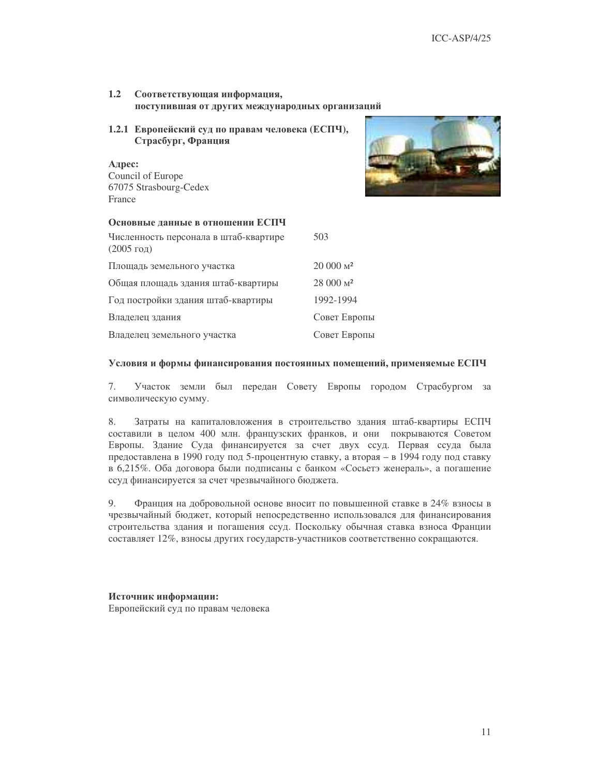#### $1.2$ Соответствующая информация, поступившая от других международных организаций

1.2.1 Европейский суд по правам человека (ЕСПЧ), Страсбург, Франция

Адрес: Council of Europe 67075 Strasbourg-Cedex France



#### Основные данные в отношении ЕСПЧ

| Численность персонала в штаб-квартире<br>$(2005 \text{ год})$ | 503          |
|---------------------------------------------------------------|--------------|
| Площадь земельного участка                                    | $20000 M^2$  |
| Общая площадь здания штаб-квартиры                            | $28000 M^2$  |
| Год постройки здания штаб-квартиры                            | 1992-1994    |
| Владелец здания                                               | Совет Европы |
| Владелец земельного участка                                   | Совет Европы |

#### Условия и формы финансирования постоянных помещений, применяемые ЕСПЧ

7. Участок земли был передан Совету Европы городом Страсбургом за символическую сумму.

8. Затраты на капиталовложения в строительство здания штаб-квартиры ЕСПЧ составили в целом 400 млн. французских франков, и они покрываются Советом Европы. Здание Суда финансируется за счет двух ссуд. Первая ссуда была предоставлена в 1990 году под 5-процентную ставку, а вторая - в 1994 году под ставку в 6,215%. Оба договора были подписаны с банком «Сосьетэ женераль», а погашение ссуд финансируется за счет чрезвычайного бюджета.

9. Франция на добровольной основе вносит по повышенной ставке в 24% взносы в чрезвычайный бюджет, который непосредственно использовался для финансирования строительства здания и погашения ссуд. Поскольку обычная ставка взноса Франции составляет 12%, взносы других государств-участников соответственно сокращаются.

#### Источник информации: Европейский суд по правам человека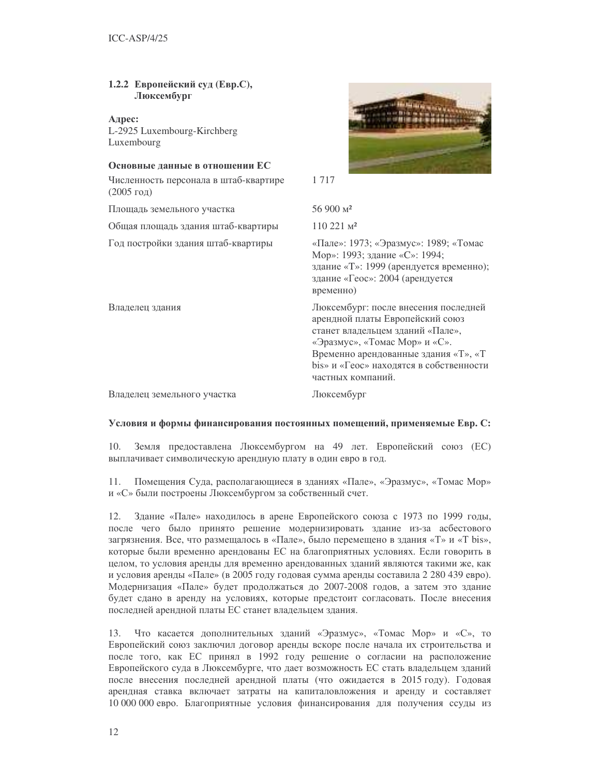#### 1.2.2 Европейский суд (Евр.С), Люксембург

Адрес: L-2925 Luxembourg-Kirchberg Luxembourg



1717

56 900 M<sup>2</sup>

Численность персонала в штаб-квартире  $(2005 \text{ год})$ 

Основные данные в отношении ЕС

Площадь земельного участка

Общая площадь здания штаб-квартиры

Год постройки здания штаб-квартиры

 $110221$   $M^2$ «Пале»: 1973; «Эразмус»: 1989; «Томас Мор»: 1993; здание «С»: 1994; здание «Т»: 1999 (арендуется временно); здание «Геос»: 2004 (арендуется временно)

Люксембург: после внесения последней арендной платы Европейский союз станет владельцем зданий «Пале», «Эразмус», «Томас Мор» и «С». Временно арендованные здания «Т», «Т bis» и «Геос» нахолятся в собственности частных компаний.

Владелец здания

Владелец земельного участка

Люксембург

## Условия и формы финансирования постоянных помещений, применяемые Евр. С:

10. Земля предоставлена Люксембургом на 49 лет. Европейский союз (ЕС) выплачивает символическую арендную плату в один евро в год.

11. Помещения Суда, располагающиеся в зданиях «Пале», «Эразмус», «Томас Мор» и «С» были построены Люксембургом за собственный счет.

 $12.$ Здание «Пале» находилось в арене Европейского союза с 1973 по 1999 годы, после чего было принято решение модернизировать здание из-за асбестового загрязнения. Все, что размещалось в «Пале», было перемещено в здания «T» и «T bis», которые были временно арендованы ЕС на благоприятных условиях. Если говорить в целом, то условия аренды для временно арендованных зданий являются такими же, как и условия аренды «Пале» (в 2005 году годовая сумма аренды составила 2 280 439 евро). Модернизация «Пале» будет продолжаться до 2007-2008 годов, а затем это здание будет сдано в аренду на условиях, которые предстоит согласовать. После внесения последней арендной платы ЕС станет владельцем здания.

Что касается дополнительных зданий «Эразмус», «Томас Мор» и «С», то 13. Европейский союз заключил договор аренды вскоре после начала их строительства и после того, как ЕС принял в 1992 году решение о согласии на расположение Европейского суда в Люксембурге, что дает возможность ЕС стать владельцем зданий после внесения последней арендной платы (что ожидается в 2015 году). Годовая арендная ставка включает затраты на капиталовложения и аренду и составляет 10 000 000 евро. Благоприятные условия финансирования для получения ссуды из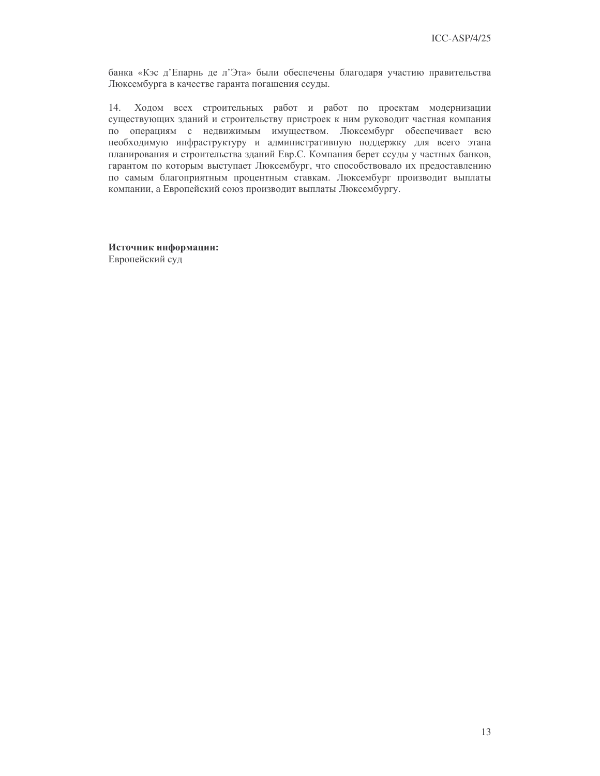банка «Кэс д'Епарнь де л'Эта» были обеспечены благодаря участию правительства Люксембурга в качестве гаранта погашения ссуды.

Ходом всех строительных работ и работ по проектам модернизации 14. существующих зданий и строительству пристроек к ним руководит частная компания по операциям с недвижимым имуществом. Люксембург обеспечивает всю необходимую инфраструктуру и административную поддержку для всего этапа планирования и строительства зданий Евр.С. Компания берет ссуды у частных банков, гарантом по которым выступает Люксембург, что способствовало их предоставлению по самым благоприятным процентным ставкам. Люксембург производит выплаты компании, а Европейский союз производит выплаты Люксембургу.

Источник информации: Европейский суд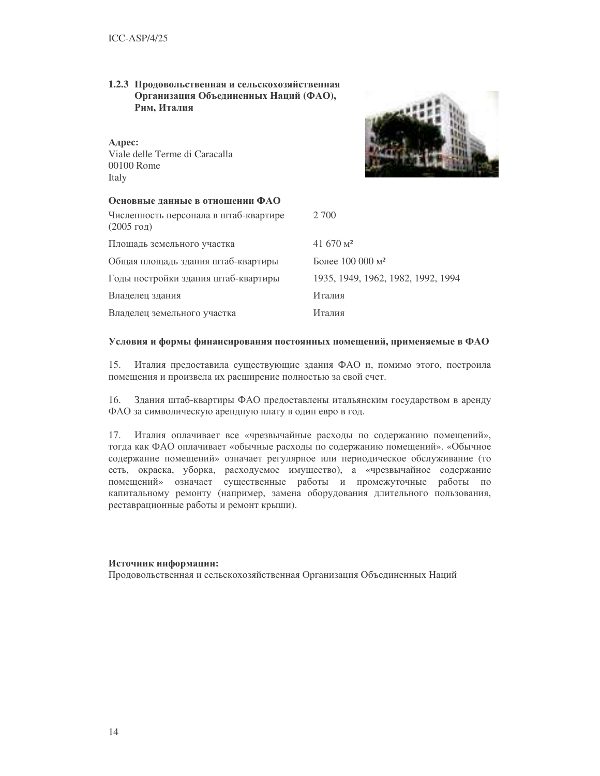1.2.3 Продовольственная и сельскохозяйственная Организация Объединенных Наций (ФАО), Рим, Италия

#### **Алрес:**

Viale delle Terme di Caracalla 00100 Rome Italy



| Основные данные в отношении ФАО                               |                                    |
|---------------------------------------------------------------|------------------------------------|
| Численность персонала в штаб-квартире<br>$(2005 \text{ год})$ | 2 700                              |
| Площадь земельного участка                                    | 41 670 $M^2$                       |
| Общая площадь здания штаб-квартиры                            | Более 100 000 м <sup>2</sup>       |
| Годы постройки здания штаб-квартиры                           | 1935, 1949, 1962, 1982, 1992, 1994 |
| Владелец здания                                               | Италия                             |
| Владелец земельного участка                                   | Италия                             |

#### Условия и формы финансирования постоянных помещений, применяемые в ФАО

15. Италия предоставила существующие здания ФАО и, помимо этого, построила помещения и произвела их расширение полностью за свой счет.

16. Здания штаб-квартиры ФАО предоставлены итальянским государством в аренду ФАО за символическую арендную плату в один евро в год.

 $17.$ Италия оплачивает все «чрезвычайные расходы по содержанию помещений», тогда как ФАО оплачивает «обычные расходы по содержанию помещений». «Обычное содержание помещений» означает регулярное или периодическое обслуживание (то есть, окраска, уборка, расходуемое имущество), а «чрезвычайное содержание помещений» означает существенные работы и промежуточные работы по капитальному ремонту (например, замена оборудования длительного пользования, реставрационные работы и ремонт крыши).

#### Источник информации:

Продовольственная и сельскохозяйственная Организация Объединенных Наций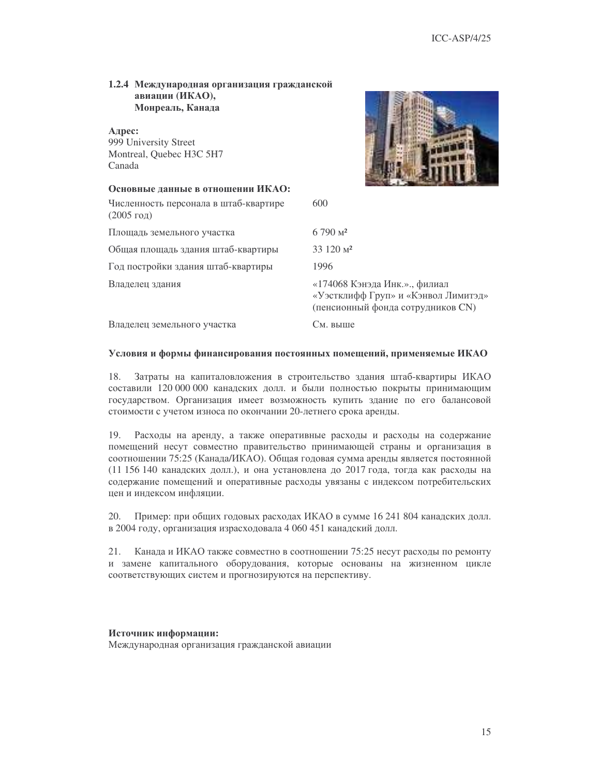### 1.2.4 Международная организация гражданской авиации (ИКАО), Монреаль, Канада

Aдрес: 999 University Street Montreal, Quebec H3C 5H7 Canada

## Основные данные в отношении ИКАО: Численность персонала в штаб-квартире



600

| $(2005 \text{ год})$               |                                                                                                           |
|------------------------------------|-----------------------------------------------------------------------------------------------------------|
| Площадь земельного участка         | 6790 <sub>M</sub> <sup>2</sup>                                                                            |
| Общая площадь здания штаб-квартиры | $33120 \text{ M}^2$                                                                                       |
| Год постройки здания штаб-квартиры | 1996                                                                                                      |
| Владелец здания                    | «174068 Кэнэда Инк.»., филиал<br>«Уэстклифф Груп» и «Кэнвол Лимитэд»<br>(пенсионный фонда сотрудников CN) |
| Владелец земельного участка        | См. выше                                                                                                  |

#### Условия и формы финансирования постоянных помещений, применяемые ИКАО

18. траты на капиталовложения в строительство здания штаб-квартиры ИКАО составили 120 000 000 канадских долл. и были полностью покрыты принимающим государством. Организация имеет возможность купить здание по его балансовой стоимости с учетом износа по окончании 20-летнего срока аренды.

 $19.$ сходы на аренду, а также оперативные расходы и расходы на содержание помещений несут совместно правительство принимающей страны и организация в соотношении 75:25 (Канада/ИКАО). Общая годовая сумма аренды является постоянной (11 156 140 канадских долл.), и она установлена до 2017 года, тогда как расходы на содержание помещений и оперативные расходы увязаны с индексом потребительских цен и индексом инфляции.

20. Пример: при общих годовых расходах ИКАО в сумме 16 241 804 канадских долл. в 2004 году, организация израсходовала 4 060 451 канадский долл.

 $21.$ нада и ИКАО также совместно в соотношении 75:25 несут расходы по ремонту и замене капитального оборудования, которые основаны на жизненном цикле соответствующих систем и прогнозируются на перспективу.

#### Источник информации:

Международная организация гражданской авиации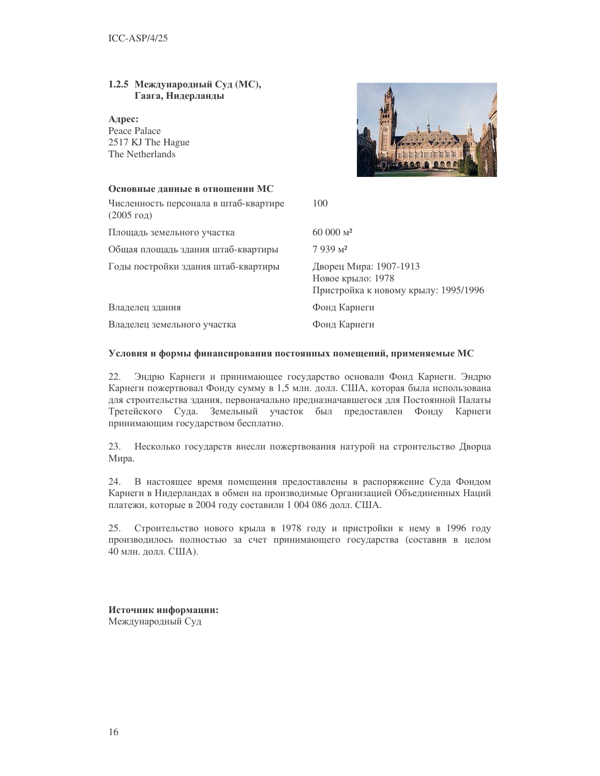## 1.2.5 Международный Суд (МС),  $\Gamma$ аага, Нидерланды

Aдрес: Peace Palace 2517 KJ The Hague The Netherlands

## Основные данные в отношении МС



100

| Численность персонала в штаб-квартире<br>$(2005 \text{ год})$ | 100                                                                                 |
|---------------------------------------------------------------|-------------------------------------------------------------------------------------|
| Площадь земельного участка                                    | $60000 \text{ m}^2$                                                                 |
| Общая площадь здания штаб-квартиры                            | 7939 <sub>M</sub> <sup>2</sup>                                                      |
| Годы постройки здания штаб-квартиры                           | Дворец Мира: 1907-1913<br>Новое крыло: 1978<br>Пристройка к новому крылу: 1995/1996 |
| Владелец здания                                               | Фонд Карнеги                                                                        |
| Владелец земельного участка                                   | Фонд Карнеги                                                                        |
|                                                               |                                                                                     |

#### Условия и формы финансирования постоянных помещений, применяемые МС

22. Эндрю Карнеги и принимающее государство основали Фонд Карнеги. Эндрю Карнеги пожертвовал Фонду сумму в 1,5 млн. долл. США, которая была использована для строительства здания, первоначально предназначавшегося для Постоянной Палаты Третейского Суда. Земельный участок был предоставлен Фонду Карнеги принимающим государством бесплатно.

23. Несколько государств внесли пожертвования натурой на строительство Дворца Мира.

24. В настоящее время помещения предоставлены в распоряжение Суда Фондом Карнеги в Нидерландах в обмен на производимые Организацией Объединенных Наций платежи, которые в 2004 году составили 1 004 086 долл. США.

25. Строительство нового крыла в 1978 году и пристройки к нему в 1996 году производилось полностью за счет принимающего государства (составив в целом 40 млн. долл. США).

Источник информации: Международный Суд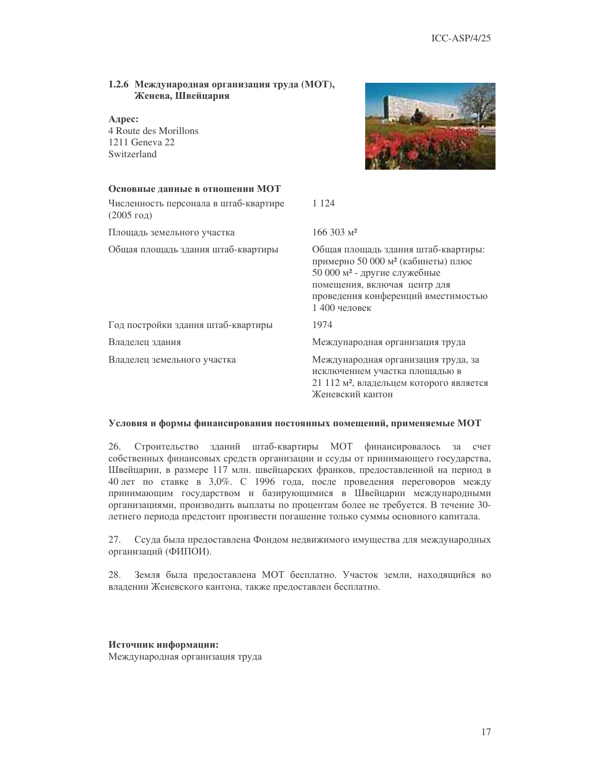#### 1.2.6 Международная организация труда (МОТ), Женева, Швейцари<mark>я</mark>

Aдрес: 4 Route des Morillons 1211 Geneva 22 Switzerland

#### Основные данные в отношении МОТ

Численность персонала в штаб-квартире  $(2005 \text{ rod})$ 

Площадь земельного участка



1 124

166 303 M<sup>2</sup>

Общая площадь здания штаб-квартиры Обща я площадь здания штаб-квартиры: примерно 50 000 м<sup>2</sup> (кабинеты) плюс 50 000 м<sup>2</sup> - другие служебные помещения, включая центр для проведения конференций вместимостью 1 400 Год постройки здания штаб-квартиры  $1974$ Владелец зда ния Ме ждународная организация труда Владелец земельного участка Международная организация труда, за исключением участка площадью в 21 112 м<sup>2</sup>, владельцем которого является Женевский кантон

#### Условия и формы финансирования постоянных помещений, применяемые МОТ

26. Строительство зданий штаб-квартиры МОТ финансировалось за счет собственных финансовых средств организации и ссуды от принимающего государства, Швейцарии, в размере 117 млн. швейцарских франков, предоставленной на период в 40 лет по ставке в 3,0%. С 1996 года, после проведения переговоров между принимающим государством и базирующимися в Швейцарии международными организациями, производить выплаты по процентам более не требуется. В течение 30летнего периода предстоит произвести погашение только суммы основного капитала.

27. Ссуда была предоставлена Фондом недвижимого имущества для международных организаций (ФИПОИ).

28. 2 мля была предоставлена МОТ бесплатно. Участок земли, находящийся во владении Женевского кантона, также предоставлен бесплатно.

#### Источник информации:

Международная организация труда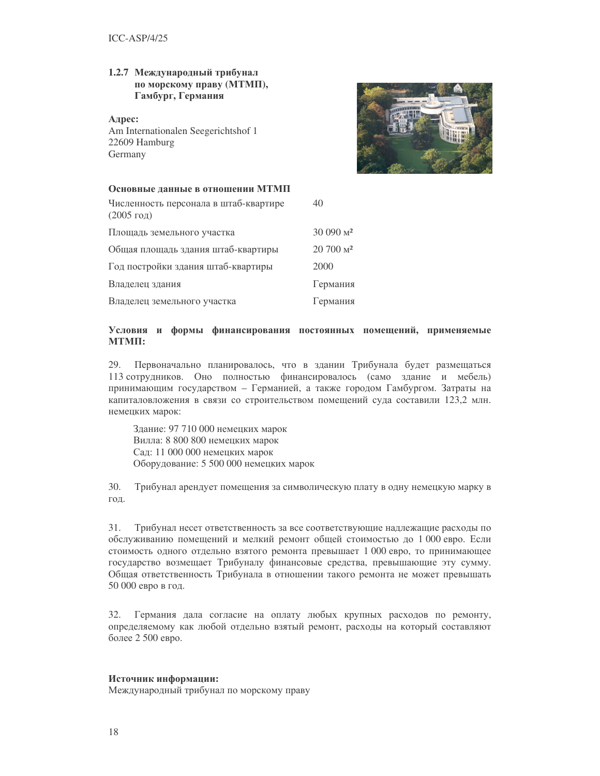## 1.2.7 Международный трибунал по морскому праву (МТМП),  $\Gamma$ амбург, Германия

Aдрес: Am Internationalen Seegerichtshof 1 22609 Hamburg Germany



#### Основные данные в отношении МТМП

| Численность персонала в штаб-квартире<br>$(2005 \text{ год})$ | 40                              |
|---------------------------------------------------------------|---------------------------------|
| Площадь земельного участка                                    | 30090 <sub>M</sub> <sup>2</sup> |
| Общая площадь здания штаб-квартиры                            | $20\,700 \,\mathrm{M}^2$        |
| Год постройки здания штаб-квартиры                            | 2000                            |
| Владелец здания                                               | Германия                        |
| Владелец земельного участка                                   | Германия                        |

#### Условия и формы финансирования постоянных помещений, применяемые  $MTMII:$

29. рвоначально планировалось, что в здании Трибунала будет размещаться 113 сотрудников. Оно полностью финансировалось (само здание и мебель) принимающим государством – Германией, а также городом Гамбургом. Затраты на капиталовложения в связи со строительством помещений суда составили 123,2 млн. немецких марок:

Здание: 97 710 000 немецких марок Вилла: 8 800 800 немецких марок Сад: 11 000 000 немецких марок Оборудование: 5 500 000 немецких марок

30. Трибунал арендует помещения за символическую плату в одну немецкую марку в год.

31. Трибунал несет ответственность за все соответствующие надлежащие расходы по обслуживанию помещений и мелкий ремонт общей стоимостью до 1 000 евро. Если стоимость одного отдельно взятого ремонта превышает 1 000 евро, то принимающее государство возмещает Трибуналу финансовые средства, превышающие эту сумму. Общая ответственность Трибунала в отношении такого ремонта не может превышать 50 000 евро в год.

32. рмания дала согласие на оплату любых крупных расходов по ремонту, определяемому как любой отдельно взятый ремонт, расходы на который составляют более 2 500 евро.

#### Источник информации:

Международный трибунал по морскому праву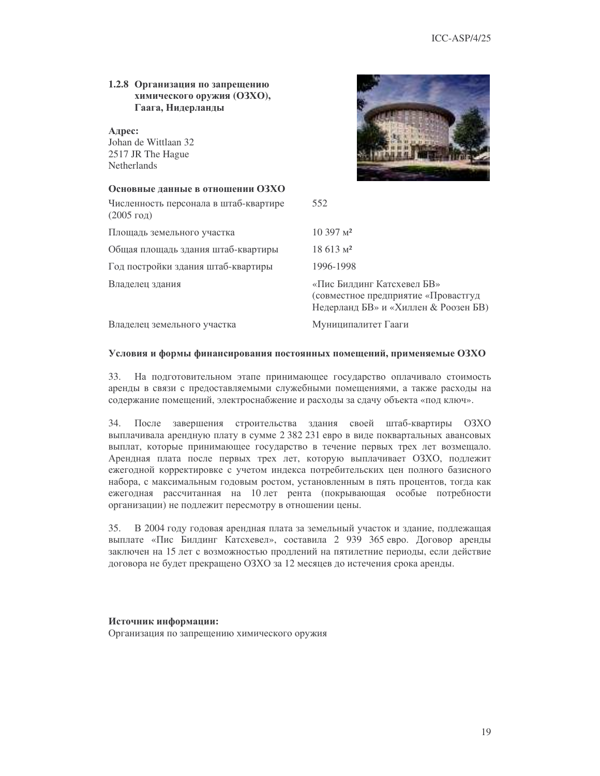#### 1.2.8 Организация по запрещению химического оружия (ОЗХО), Гаага, Нидерланды

Адрес: Johan de Wittlaan 32 2517 JR The Hague Netherlands

#### Основные ланные в отношении ОЗХО



| 552                                                                                                       |
|-----------------------------------------------------------------------------------------------------------|
| $10.397$ $M^2$                                                                                            |
| 18613 <sub>M</sub> <sup>2</sup>                                                                           |
| 1996-1998                                                                                                 |
| «Пис Билдинг Катсхевел БВ»<br>(совместное предприятие «Провастгуд<br>Недерланд БВ» и «Хиллен & Роозен БВ) |
| Муниципалитет Гааги                                                                                       |
|                                                                                                           |

#### Условия и формы финансирования постоянных помещений, применяемые ОЗХО

33. На подготовительном этапе принимающее государство оплачивало стоимость аренды в связи с предоставляемыми служебными помещениями, а также расходы на содержание помещений, электроснабжение и расходы за сдачу объекта «под ключ».

 $34$ После завершения строительства здания своей штаб-квартиры ОЗХО выплачивала арендную плату в сумме 2 382 231 евро в виде поквартальных авансовых выплат, которые принимающее государство в течение первых трех лет возмещало. Арендная плата после первых трех лет, которую выплачивает ОЗХО, подлежит ежегодной корректировке с учетом индекса потребительских цен полного базисного набора, с максимальным годовым ростом, установленным в пять процентов, тогда как ежегодная рассчитанная на 10 лет рента (покрывающая особые потребности организации) не подлежит пересмотру в отношении цены.

В 2004 году годовая арендная плата за земельный участок и здание, подлежащая 35. выплате «Пис Билдинг Катсхевел», составила 2 939 365 евро. Договор аренды заключен на 15 лет с возможностью продлений на пятилетние периоды, если действие договора не будет прекращено ОЗХО за 12 месяцев до истечения срока аренды.

#### Источник информации:

Организация по запрещению химического оружия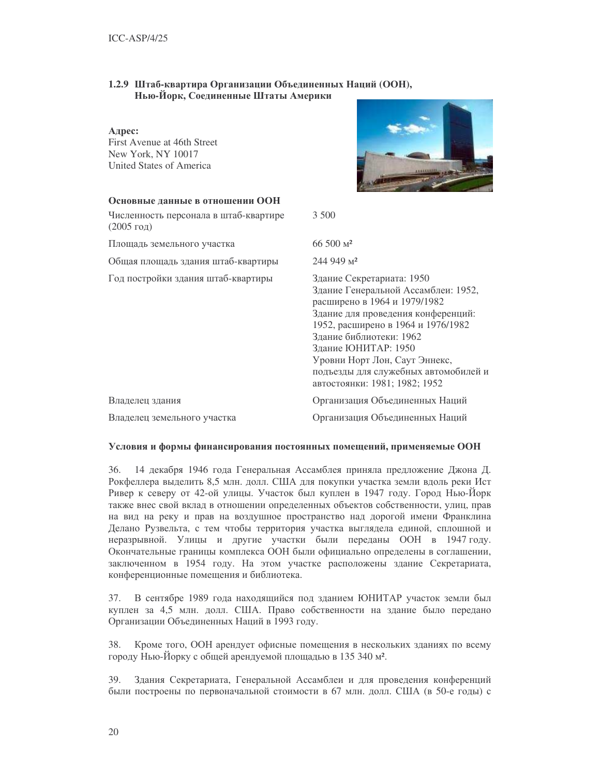Aдрес:

First Avenue at 46th Street

## 1.2.9 Штаб-квартира Организации Объединенных Наций (ООН), Нью-Йорк, Соединенные Штаты Америки

| New York, NY 10017<br><b>United States of America</b>         |                                                                                                                                                                                                                                                                                                                                          |
|---------------------------------------------------------------|------------------------------------------------------------------------------------------------------------------------------------------------------------------------------------------------------------------------------------------------------------------------------------------------------------------------------------------|
| Основные данные в отношении ООН                               |                                                                                                                                                                                                                                                                                                                                          |
| Численность персонала в штаб-квартире<br>$(2005 \text{ год})$ | 3 500                                                                                                                                                                                                                                                                                                                                    |
| Площадь земельного участка                                    | 66 500 м <sup>2</sup>                                                                                                                                                                                                                                                                                                                    |
| Общая площадь здания штаб-квартиры                            | 244 949 M <sup>2</sup>                                                                                                                                                                                                                                                                                                                   |
| Год постройки здания штаб-квартиры                            | Здание Секретариата: 1950<br>Здание Генеральной Ассамблеи: 1952,<br>расширено в 1964 и 1979/1982<br>Здание для проведения конференций:<br>1952, расширено в 1964 и 1976/1982<br>Здание библиотеки: 1962<br>Здание ЮНИТАР: 1950<br>Уровни Норт Лон, Саут Эннекс,<br>подъезды для служебных автомобилей и<br>автостоянки: 1981; 1982; 1952 |
| Владелец здания                                               | Организация Объединенных Наций                                                                                                                                                                                                                                                                                                           |
| Владелец земельного участка                                   | Организация Объединенных Наций                                                                                                                                                                                                                                                                                                           |

**SOF** 

#### Условия и формы финансирования постоянных помещений, применяемые ООН

36. 14 декабря 1946 года Генеральная Ассамблея приняла предложение Джона Д. Рокфеллера выделить 8,5 млн. долл. США для покупки участка земли вдоль реки Ист Ривер к северу от 42-ой улицы. Участок был куплен в 1947 году. Город Нью-Йорк также внес свой вклад в отношении определенных объектов собственности, улиц, прав на вид на реку и прав на воздушное пространство над дорогой имени Франклина Делано Рузвельта, с тем чтобы территория участка выглядела единой, сплошной и неразрывной. Улицы и другие участки были переданы ООН в 1947 году. Окончательные границы комплекса ООН были официально определены в соглашении, заключенном в 1954 году. На этом участке расположены здание Секретариата, конференционные помещения и библиотека.

37. В сентябре 1989 года находящийся под зданием ЮНИТАР участок земли был куплен за 4,5 млн. долл. США. Право собственности на здание было передано Организации Объединенных Наций в 1993 году.

38. Кроме того, ООН арендует офисные помещения в нескольких зданиях по всему городу Нью-Йорку с общей арендуемой площадью в 135 340 м<sup>2</sup>.

39. Здания Секретариата, Генеральной Ассамблеи и для проведения конференций были построены по первоначальной стоимости в 67 млн. долл. США (в 50-е годы) с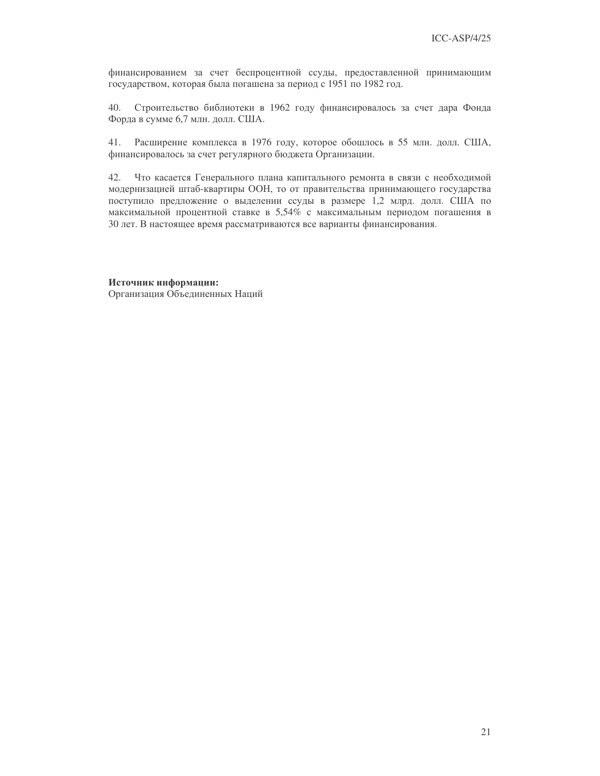финансированием за счет беспроцентной ссуды, предоставленной принимающим государством, которая была погашена за период с 1951 по 1982 год.

Строительство библиотеки в 1962 году финансировалось за счет дара Фонда 40. Форда в сумме 6,7 млн. долл. США.

Расширение комплекса в 1976 году, которое обошлось в 55 млн. долл. США,  $41.$ финансировалось за счет регулярного бюджета Организации.

42. Что касается Генерального плана капитального ремонта в связи с необходимой модернизацией штаб-квартиры ООН, то от правительства принимающего государства поступило предложение о выделении ссуды в размере 1,2 млрд. долл. США по максимальной процентной ставке в 5,54% с максимальным периодом погашения в 30 лет. В настоящее время рассматриваются все варианты финансирования.

#### Источник информации:

Организация Объединенных Наций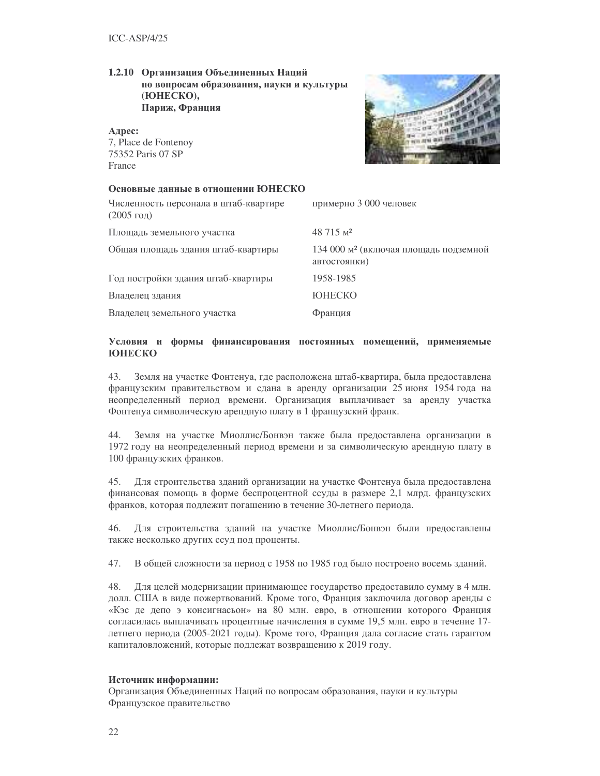#### 1.2.10 Организация Объединенных Наций по вопросам образования, науки и культуры (ЮНЕСКО), Париж, Франция

Адрес: 7. Place de Fontenov 75352 Paris 07 SP France



#### Основные данные в отношении ЮНЕСКО

| Численность персонала в штаб-квартире<br>$(2005 \text{ год})$ | примерно 3 000 человек                                            |
|---------------------------------------------------------------|-------------------------------------------------------------------|
| Площадь земельного участка                                    | $48715$ $M2$                                                      |
| Общая площадь здания штаб-квартиры                            | 134 000 м <sup>2</sup> (включая площадь подземной<br>автостоянки) |
| Год постройки здания штаб-квартиры                            | 1958-1985                                                         |
| Владелец здания                                               | <b>FOHECKO</b>                                                    |
| Владелец земельного участка                                   | Франция                                                           |

#### Условия и формы финансирования постоянных помещений, применяемые **FOHECKO**

43. Земля на участке Фонтенуа, где расположена штаб-квартира, была предоставлена французским правительством и сдана в аренду организации 25 июня 1954 года на неопределенный период времени. Организация выплачивает за аренду участка Фонтенуа символическую арендную плату в 1 французский франк.

 $44$ Земля на участке Миоллис/Бонвэн также была предоставлена организации в 1972 году на неопределенный период времени и за символическую арендную плату в 100 французских франков.

Для строительства зданий организации на участке Фонтенуа была предоставлена 45. финансовая помощь в форме беспроцентной ссуды в размере 2,1 млрд. французских франков, которая подлежит погашению в течение 30-летнего периода.

Для строительства зданий на участке Миоллис/Бонвэн были предоставлены 46. также несколько других ссуд под проценты.

47. В общей сложности за период с 1958 по 1985 год было построено восемь зданий.

Для целей модернизации принимающее государство предоставило сумму в 4 млн. 48. долл. США в виде пожертвований. Кроме того, Франция заключила договор аренды с «Кэс де депо э консигнасьон» на 80 млн. евро, в отношении которого Франция согласилась выплачивать процентные начисления в сумме 19,5 млн. евро в течение 17летнего периода (2005-2021 годы). Кроме того, Франция дала согласие стать гарантом капиталовложений, которые подлежат возвращению к 2019 году.

#### Источник информации:

Организация Объединенных Наций по вопросам образования, науки и культуры Французское правительство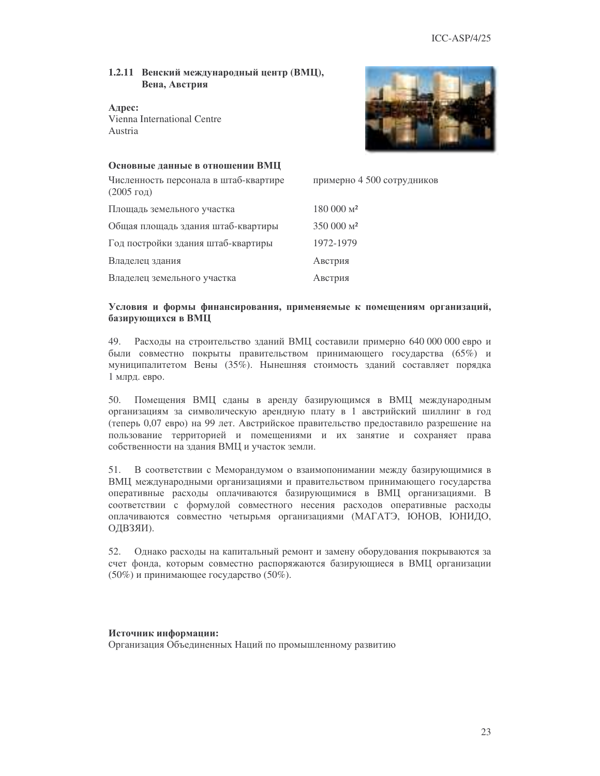#### 1.2.11 Венский международный центр (ВМЦ), Вена, Австрия

Aдрес: Vienna International Centre Austria



Основные данные в отношении ВМЦ

Численность персонала в штаб-квартире  $(2005$  год) примерно 4 500 сотрудников Площадь земельного участка 180 000  $M^2$ Общая площадь здания штаб-ква 350 000  $M^2$ Год постройки здания штаб-ква 1972-1979 Владелец зда Австрия Владелец земельного участка Австрия

#### Условия и формы финансирования, применяемые к помещениям организаций, базирующихся в ВМЦ

49. Расходы на строительство зданий ВМЦ составили примерно 640 000 000 евро и были совместно покрыты правительством принимающего государства (65%) и муниципалитетом Вены (35%). Нынешняя стоимость зданий составляет порядка 1 млрд. евро.

50. Помещения ВМЦ сданы в аренду базирующимся в ВМЦ международным организациям за символическую арендную плату в 1 австрийский шиллинг в год (теперь 0,07 евро) на 99 лет. Австрийское правительство предоставило разрешение на пользование территорией и помещениями и их занятие и сохраняет права собственности на здания ВМЦ и участок земли.

51. В соответствии с Меморандумом о взаимопонимании между базирующимися в ВМЦ международными организациями и правительством принимающего государства оперативные расходы оплачиваются базирующимися в ВМЦ организациями. В соответствии с формулой совместного несения расходов оперативные расходы оплачиваются совместно четырьмя организациями (МАГАТЭ, ЮНОВ, ЮНИДО, ОДВЗЯИ).

52. Однако расходы на капитальный ремонт и замену оборудования покрываются за счет фонда, которым совместно распоряжаются базирующиеся в ВМЦ организации (50%) и принимающее государство (50%).

#### Источник информации:

Организация Объединенных Наций по промышленному развитию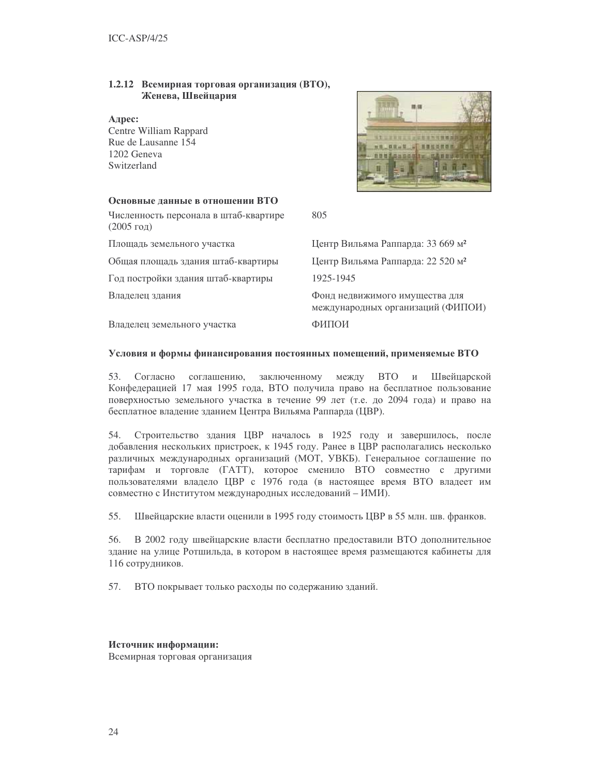## 1.2.12 Всемирная торговая организация (ВТО), Женева, Швейцари<mark>я</mark>

Aдрес: Centre William Rappard Rue de Lausanne 154 1202 Geneva Switzerland

Основные данные в отношении ВТО



805

| Численность персонала в штаб-квартире<br>$(2005 \text{ год})$ | 805                                                                 |
|---------------------------------------------------------------|---------------------------------------------------------------------|
| Площадь земельного участка                                    | Центр Вильяма Раппарда: 33 669 м <sup>2</sup>                       |
| Общая площадь здания штаб-квартиры                            | Центр Вильяма Раппарда: 22 520 м <sup>2</sup>                       |
| Год постройки здания штаб-квартиры                            | 1925-1945                                                           |
| Владелец здания                                               | Фонд недвижимого имущества для<br>международных организаций (ФИПОИ) |
| Владелец земельного участка                                   | ФИПОИ                                                               |
|                                                               |                                                                     |

## Условия и формы финансирования постоянных помещений, применяемые ВТО

53. Согласно сно соглашению, за ключенному ме между ВТО и йцарской Конфедерацией 17 мая 1995 года, ВТО получила право на бесплатное пользование поверхностью земельного участка в течение 99 лет (т.е. до 2094 года) и право на бесплатное владение зданием Центра Вильяма Раппарда (ЦВР).

54. Строительство здания ЦВР началось в 1925 году и завершилось, после добавления нескольких пристроек, к 1945 году. Ранее в ЦВР располагались несколько различных международных организаций (МОТ, УВКБ). Генеральное соглашение по тарифам и торговле (ГАТТ), которое сменило ВТО совместно с другими пользователями владело ЦВР с 1976 года (в настоящее время ВТО владеет им совместно с Институтом международных исследований - ИМИ).

55. Швейцарские власти оценили в 1995 году стоимость ЦВР в 55 млн. шв. франков.

56. В 2002 году швейцарские власти бесплатно предоставили ВТО дополнительное здание на улице Ротшильда, в котором в настоящее время размещаются кабинеты для 116 сотрудников.

57. ВТО покрывает только расходы по содержанию зданий.

#### Источник информации:

Всемирная торговая организация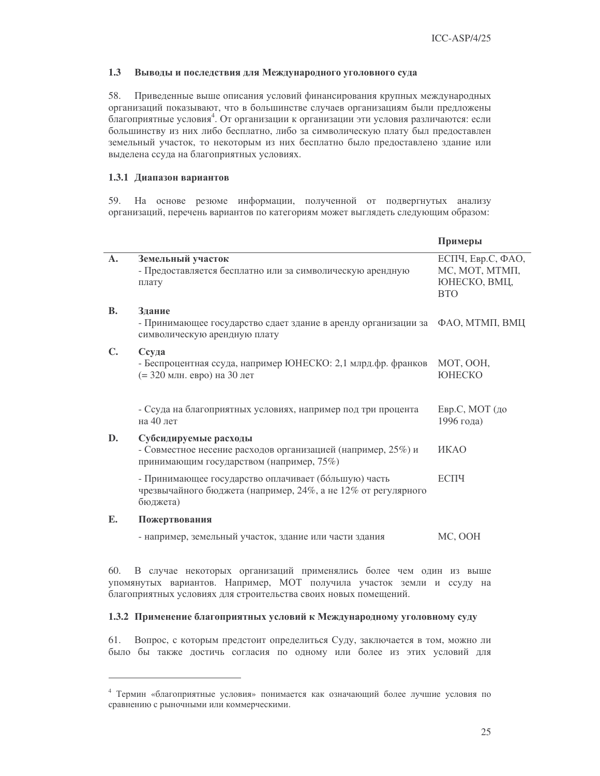#### $1.3$ Выводы и последствия для Международного уголовного суда

58. Приведенные выше описания условий финансирования крупных международных организаций показывают, что в большинстве случаев организациям были предложены благоприятные условия<sup>4</sup>. От организации к организации эти условия различаются: если большинству из них либо бесплатно, либо за символическую плату был предоставлен земельный участок, то некоторым из них бесплатно было предоставлено здание или выделена ссуда на благоприятных условиях.

#### 1.3.1 Диапазон вариантов

На основе резюме информации, полученной от подвергнутых анализу 59. организаций, перечень вариантов по категориям может выглядеть следующим образом:

|                |                                                                                                                                   | Примеры                                                            |
|----------------|-----------------------------------------------------------------------------------------------------------------------------------|--------------------------------------------------------------------|
| A.             | Земельный участок<br>- Предоставляется бесплатно или за символическую арендную<br>плату                                           | ЕСПЧ, Евр.С, ФАО,<br>MC, MOT, MTMII,<br>ЮНЕСКО, ВМЦ,<br><b>BTO</b> |
| <b>B.</b>      | Здание<br>- Принимающее государство сдает здание в аренду организации за<br>символическую арендную плату                          | ФАО, МТМП, ВМЦ                                                     |
| $\mathbb{C}$ . | Ссуда<br>- Беспроцентная ссуда, например ЮНЕСКО: 2,1 млрд.фр. франков<br>$(= 320$ млн. евро) на 30 лет                            | MOT, OOH,<br><b>ЮНЕСКО</b>                                         |
|                | - Ссуда на благоприятных условиях, например под три процента<br>на 40 лет                                                         | Евр.С, МОТ (до<br>1996 года)                                       |
| D.             | Субсидируемые расходы<br>- Совместное несение расходов организацией (например, 25%) и<br>принимающим государством (например, 75%) | <b>HKAO</b>                                                        |
|                | - Принимающее государство оплачивает (большую) часть<br>чрезвычайного бюджета (например, 24%, а не 12% от регулярного<br>бюджета) | ЕСПЧ                                                               |
| <b>E.</b>      | Пожертвования                                                                                                                     |                                                                    |
|                | - например, земельный участок, здание или части здания                                                                            | MC, OOH                                                            |

В случае некоторых организаций применялись более чем один из выше 60. упомянутых вариантов. Например, МОТ получила участок земли и ссуду на благоприятных условиях для строительства своих новых помещений.

#### 1.3.2 Применение благоприятных условий к Международному уголовному суду

Вопрос, с которым предстоит определиться Суду, заключается в том, можно ли 61. было бы также достичь согласия по одному или более из этих условий для

<sup>&</sup>lt;sup>4</sup> Термин «благоприятные условия» понимается как означающий более лучшие условия по сравнению с рыночными или коммерческими.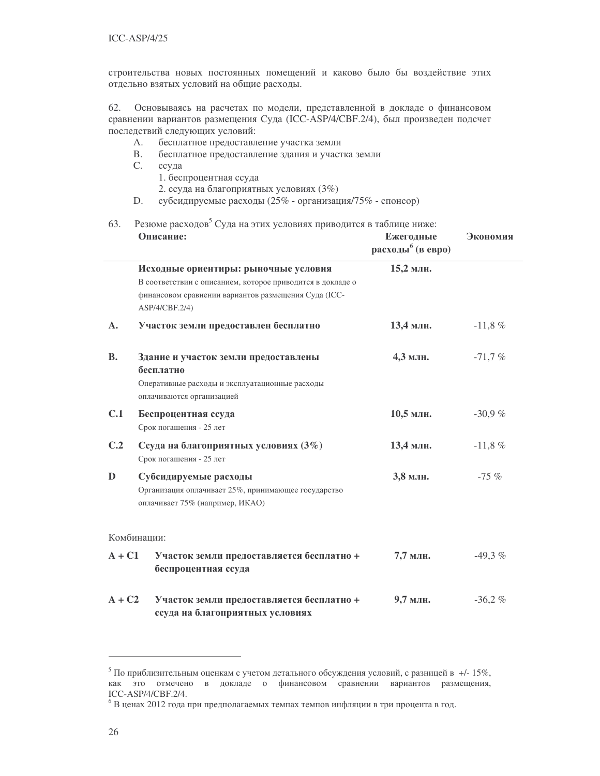строительства новых постоянных помещений и каково было бы воздействие этих отдельно взятых условий на общие расходы.

Основываясь на расчетах по модели, представленной в докладе о финансовом 62. сравнении вариантов размещения Суда (ICC-ASP/4/CBF.2/4), был произведен подсчет последствий следующих условий:

- бесплатное предоставление участка земли  $A<sub>1</sub>$
- $B<sub>1</sub>$ бесплатное предоставление здания и участка земли
- $C_{\cdot}$ ссуда
	- 1. беспроцентная ссуда
	- 2. ссуда на благоприятных условиях (3%)
- субсидируемые расходы (25% организация/75% спонсор) D.

#### Резюме расходов<sup>5</sup> Суда на этих условиях приводится в таблице ниже: 63.

|                | Описание:                                                                                                                                                                    | Ежегодные<br>расходы $^6$ (в евро) | Экономия |
|----------------|------------------------------------------------------------------------------------------------------------------------------------------------------------------------------|------------------------------------|----------|
|                | Исходные ориентиры: рыночные условия<br>В соответствии с описанием, которое приводится в докладе о<br>финансовом сравнении вариантов размещения Суда (ICC-<br>ASP/4/CBF.2/4) | 15,2 млн.                          |          |
| $\mathbf{A}$ . | Участок земли предоставлен бесплатно                                                                                                                                         | 13,4 млн.                          | $-11,8%$ |
| <b>B.</b>      | Здание и участок земли предоставлены<br>бесплатно<br>Оперативные расходы и эксплуатационные расходы<br>оплачиваются организацией                                             | 4,3 млн.                           | $-71,7%$ |
| C.1            | Беспроцентная ссуда<br>Срок погашения - 25 лет                                                                                                                               | 10,5 млн.                          | $-30,9%$ |
| C.2            | Ссуда на благоприятных условиях (3%)<br>Срок погашения - 25 лет                                                                                                              | 13,4 млн.                          | $-11,8%$ |
| D              | Субсидируемые расходы<br>Организация оплачивает 25%, принимающее государство<br>оплачивает 75% (например, ИКАО)                                                              | 3,8 млн.                           | $-75\%$  |
|                | Комбинации:                                                                                                                                                                  |                                    |          |
| $A + C1$       | Участок земли предоставляется бесплатно +<br>беспроцентная ссуда                                                                                                             | 7,7 млн.                           | $-49.3%$ |
| $A + C2$       | Участок земли предоставляется бесплатно +<br>ссуда на благоприятных условиях                                                                                                 | 9,7 млн.                           | $-36,2%$ |

<sup>&</sup>lt;sup>5</sup> По приблизительным оценкам с учетом детального обсуждения условий, с разницей в +/-15%, как это отмечено в докладе о финансовом сравнении вариантов размещения, ICC-ASP/4/CBF.2/4.

 $6$  В ценах 2012 года при предполагаемых темпах темпов инфляции в три процента в год.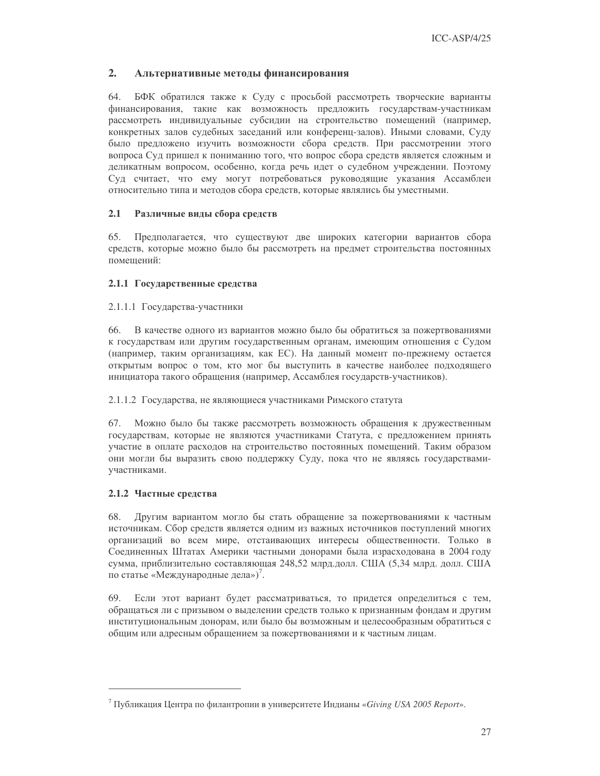#### $2.$ Альтернативные методы финансирования

64 БФК обратился также к Суду с просьбой рассмотреть творческие варианты финансирования, такие как возможность предложить государствам-участникам рассмотреть индивидуальные субсидии на строительство помещений (например, конкретных залов судебных заседаний или конференц-залов). Иными словами, Суду было предложено изучить возможности сбора средств. При рассмотрении этого вопроса Суд пришел к пониманию того, что вопрос сбора средств является сложным и деликатным вопросом, особенно, когда речь идет о судебном учреждении. Поэтому Суд считает, что ему могут потребоваться руководящие указания Ассамблеи относительно типа и методов сбора средств, которые являлись бы уместными.

#### $2.1$ Различные виды сбора средств

65. Предполагается, что существуют две широких категории вариантов сбора средств, которые можно было бы рассмотреть на предмет строительства постоянных помещений:

#### 2.1.1 Государственные средства

#### 2.1.1.1 Государства-участники

В качестве одного из вариантов можно было бы обратиться за пожертвованиями 66. к государствам или другим государственным органам, имеющим отношения с Судом (например, таким организациям, как ЕС). На данный момент по-прежнему остается открытым вопрос о том, кто мог бы выступить в качестве наиболее подходящего инициатора такого обращения (например, Ассамблея государств-участников).

#### 2.1.1.2 Государства, не являющиеся участниками Римского статута

Можно было бы также рассмотреть возможность обращения к дружественным 67. государствам, которые не являются участниками Статута, с предложением принять участие в оплате расходов на строительство постоянных помещений. Таким образом они могли бы выразить свою поддержку Суду, пока что не являясь государствамиучастниками.

#### 2.1.2 Частные средства

68. Другим вариантом могло бы стать обращение за пожертвованиями к частным источникам. Сбор средств является одним из важных источников поступлений многих организаций во всем мире, отстаивающих интересы общественности. Только в Соединенных Штатах Америки частными донорами была израсходована в 2004 году сумма, приблизительно составляющая 248,52 млрд.долл. США (5,34 млрд. долл. США по статье «Международные дела»)'.

69. Если этот вариант будет рассматриваться, то придется определиться с тем, обращаться ли с призывом о выделении средств только к признанным фондам и другим институциональным донорам, или было бы возможным и целесообразным обратиться с общим или адресным обращением за пожертвованиями и к частным лицам.

<sup>&</sup>lt;sup>7</sup> Публикация Центра по филантропии в университете Индианы «Giving USA 2005 Report».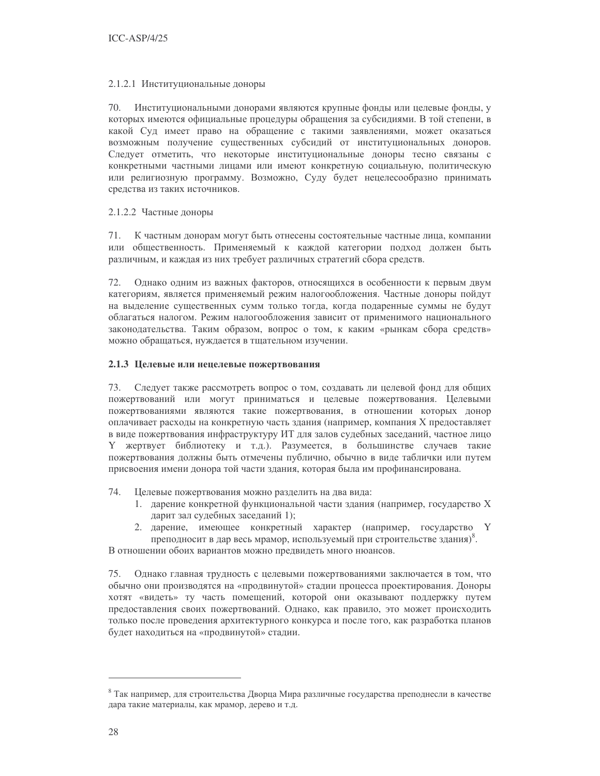#### 2.1.2.1 Институциональные доноры

70. Институциональными донорами являются крупные фонды или целевые фонды, у которых имеются официальные процедуры обращения за субсидиями. В той степени, в какой Суд имеет право на обращение с такими заявлениями, может оказаться возможным получение существенных субсидий от институциональных доноров. Следует отметить, что некоторые институциональные доноры тесно связаны с конкретными частными лицами или имеют конкретную социальную, политическую или религиозную программу. Возможно, Суду будет нецелесообразно принимать средства из таких источников.

#### 2.1.2.2 Частные доноры

71. К частным донорам могут быть отнесены состоятельные частные лица, компании или общественность. Применяемый к каждой категории подход должен быть различным, и каждая из них требует различных стратегий сбора средств.

72. Однако одним из важных факторов, относящихся в особенности к первым двум категориям, является применяемый режим налогообложения. Частные доноры пойдут на выделение существенных сумм только тогда, когда подаренные суммы не будут облагаться налогом. Режим налогообложения зависит от применимого национального законодательства. Таким образом, вопрос о том, к каким «рынкам сбора средств» можно обращаться, нуждается в тщательном изучении.

#### 2.1.3 Целевые или нецелевые пожертвования

73. Следует также рассмотреть вопрос о том, создавать ли целевой фонд для общих пожертвований или могут приниматься и целевые пожертвования. Целевыми пожертвованиями являются такие пожертвования, в отношении которых донор оплачивает расходы на конкретную часть здания (например, компания Х предоставляет в виде пожертвования инфраструктуру ИТ для залов судебных заседаний, частное лицо Ү жертвует библиотеку и т.д.). Разумеется, в большинстве случаев такие пожертвования должны быть отмечены публично, обычно в виде таблички или путем присвоения имени донора той части здания, которая была им профинансирована.

- 74. Целевые пожертвования можно разделить на два вида:
	- 1. дарение конкретной функциональной части здания (например, государство X дарит зал судебных заседаний 1);
	- 2. дарение, имеющее конкретный характер (например, государство Y преподносит в дар весь мрамор, используемый при строительстве здания)<sup>8</sup>.

В отношении обоих вариантов можно предвидеть много нюансов.

75. Однако главная трудность с целевыми пожертвованиями заключается в том, что обычно они производятся на «продвинутой» стадии процесса проектирования. Доноры хотят «видеть» ту часть помещений, которой они оказывают поддержку путем предоставления своих пожертвований. Однако, как правило, это может происходить только после проведения архитектурного конкурса и после того, как разработка планов будет находиться на «продвинутой» стадии.

<sup>&</sup>lt;sup>8</sup> Так например, для строительства Дворца Мира различные государства преподнесли в качестве дара такие материалы, как мрамор, дерево и т.д.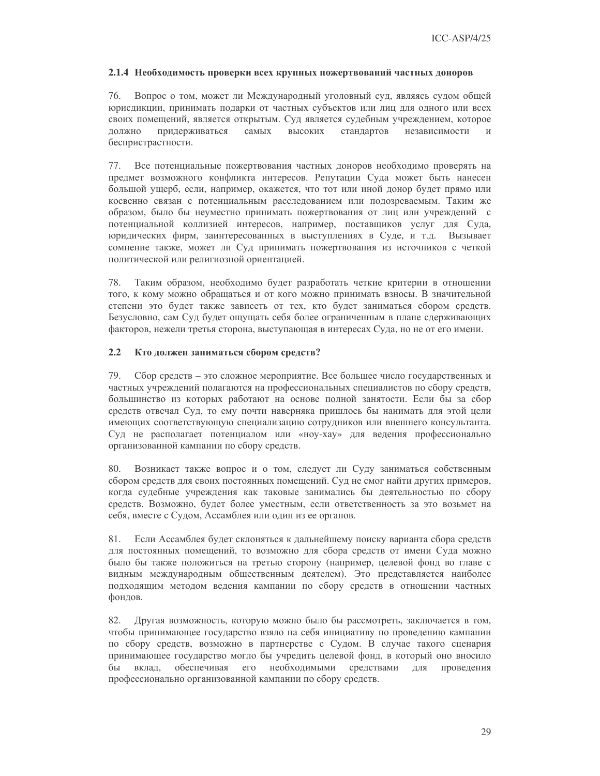#### 2.1.4 Необходимость проверки всех крупных пожертвований частных доноров

76. Вопрос о том, может ли Международный уголовный суд, являясь судом общей юрисдикции, принимать подарки от частных субъектов или лиц для одного или всех своих помещений, является открытым. Суд является судебным учреждением, которое придерживаться самых высоких стандартов независимости должно  $\mathbf{u}$ беспристрастности.

77. Все потенциальные пожертвования частных доноров необходимо проверять на предмет возможного конфликта интересов. Репутации Суда может быть нанесен большой ущерб, если, например, окажется, что тот или иной донор будет прямо или косвенно связан с потенциальным расследованием или подозреваемым. Таким же образом, было бы неуместно принимать пожертвования от лиц или учреждений с потенциальной коллизией интересов, например, поставщиков услуг для Суда, юридических фирм, заинтересованных в выступлениях в Суде, и т.д. Вызывает сомнение также, может ли Суд принимать пожертвования из источников с четкой политической или религиозной ориентацией.

78. Таким образом, необходимо будет разработать четкие критерии в отношении того, к кому можно обращаться и от кого можно принимать взносы. В значительной степени это будет также зависеть от тех, кто будет заниматься сбором средств. Безусловно, сам Суд будет ощущать себя более ограниченным в плане сдерживающих факторов, нежели третья сторона, выступающая в интересах Суда, но не от его имени.

#### $2.2$ Кто должен заниматься сбором средств?

79. Сбор средств - это сложное мероприятие. Все большее число государственных и частных учреждений полагаются на профессиональных специалистов по сбору средств, большинство из которых работают на основе полной занятости. Если бы за сбор средств отвечал Суд, то ему почти наверняка пришлось бы нанимать для этой цели имеющих соответствующую специализацию сотрудников или внешнего консультанта. Суд не располагает потенциалом или «ноу-хау» для ведения профессионально организованной кампании по сбору средств.

Возникает также вопрос и о том, следует ли Суду заниматься собственным 80. сбором средств для своих постоянных помещений. Суд не смог найти других примеров, когда судебные учреждения как таковые занимались бы деятельностью по сбору средств. Возможно, будет более уместным, если ответственность за это возьмет на себя, вместе с Судом, Ассамблея или один из ее органов.

81. Если Ассамблея будет склоняться к дальнейшему поиску варианта сбора средств для постоянных помещений, то возможно для сбора средств от имени Суда можно было бы также положиться на третью сторону (например, целевой фонд во главе с видным международным общественным деятелем). Это представляется наиболее подходящим методом ведения кампании по сбору средств в отношении частных фондов.

82. Другая возможность, которую можно было бы рассмотреть, заключается в том, чтобы принимающее государство взяло на себя инициативу по проведению кампании по сбору средств, возможно в партнерстве с Судом. В случае такого сценария принимающее государство могло бы учредить целевой фонд, в который оно вносило бы вклал. обеспечивая  $ero$ необходимыми средствами ДЛЯ проведения профессионально организованной кампании по сбору средств.